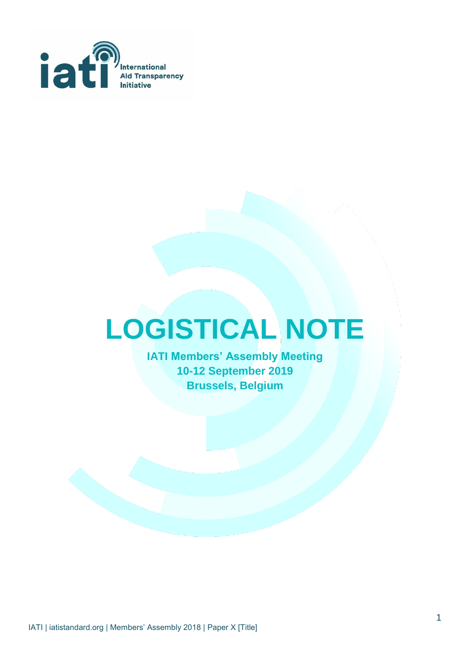

# **LOGISTICAL NOTE**

**IATI Members' Assembly Meeting 10-12 September 2019 Brussels, Belgium**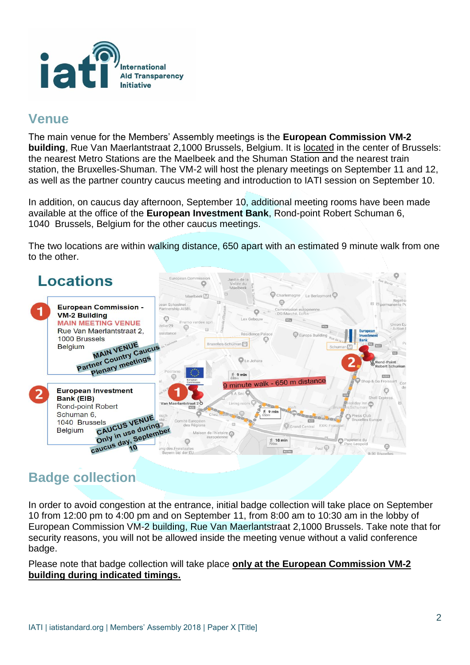

## **Venue**

The main venue for the Members' Assembly meetings is the **European Commission VM-2 building**, Rue Van Maerlantstraat 2,1000 Brussels, Belgium. It is [located](https://goo.gl/maps/mk2XE1Pcb2poVwPv7) in the center of Brussels: the nearest Metro Stations are the Maelbeek and the Shuman Station and the nearest train station, the Bruxelles-Shuman. The VM-2 will host the plenary meetings on September 11 and 12, as well as the partner country caucus meeting and introduction to IATI session on September 10.

In addition, on caucus day afternoon, September 10, additional meeting rooms have been made available at the office of the **European Investment Bank**, Rond-point Robert Schuman 6, 1040 Brussels, Belgium for the other caucus meetings.

The two locations are within walking distance, 650 apart with an estimated 9 minute walk from one to the other.



## **Badge collection**

In order to avoid congestion at the entrance, initial badge collection will take place on September 10 from 12:00 pm to 4:00 pm and on September 11, from 8:00 am to 10:30 am in the lobby of European Commission VM-2 building, Rue Van Maerlantstraat 2,1000 Brussels. Take note that for security reasons, you will not be allowed inside the meeting venue without a valid conference badge.

Please note that badge collection will take place **only at the European Commission VM-2 building during indicated timings.**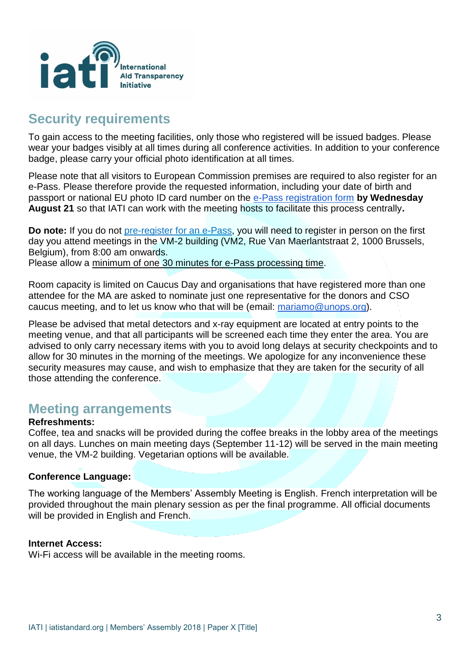

## **Security requirements**

To gain access to the meeting facilities, only those who registered will be issued badges. Please wear your badges visibly at all times during all conference activities. In addition to your conference badge, please carry your official photo identification at all times.

Please note that all visitors to European Commission premises are required to also register for an e-Pass. Please therefore provide the requested information, including your date of birth and passport or national EU photo ID card number on the [e-Pass registration form](https://iati.typeform.com/to/aSrRcK) **by Wednesday August 21** so that IATI can work with the meeting hosts to facilitate this process centrally**.**

**Do note:** If you do not [pre-register for an e-Pass,](https://iati.typeform.com/to/aSrRcK) you will need to register in person on the first day you attend meetings in the VM-2 building (VM2, Rue Van Maerlantstraat 2, 1000 Brussels, Belgium), from 8:00 am onwards.

Please allow a minimum of one 30 minutes for e-Pass processing time.

Room capacity is limited on Caucus Day and organisations that have registered more than one attendee for the MA are asked to nominate just one representative for the donors and CSO caucus meeting, and to let us know who that will be (email: [mariamo@unops.org\)](mailto:mariamo@unops.org).

Please be advised that metal detectors and x-ray equipment are located at entry points to the meeting venue, and that all participants will be screened each time they enter the area. You are advised to only carry necessary items with you to avoid long delays at security checkpoints and to allow for 30 minutes in the morning of the meetings. We apologize for any inconvenience these security measures may cause, and wish to emphasize that they are taken for the security of all those attending the conference.

### **Meeting arrangements**

#### **Refreshments:**

Coffee, tea and snacks will be provided during the coffee breaks in the lobby area of the meetings on all days. Lunches on main meeting days (September 11-12) will be served in the main meeting venue, the VM-2 building. Vegetarian options will be available.

#### **Conference Language:**

The working language of the Members' Assembly Meeting is English. French interpretation will be provided throughout the main plenary session as per the final programme. All official documents will be provided in English and French.

#### **Internet Access:**

Wi-Fi access will be available in the meeting rooms.